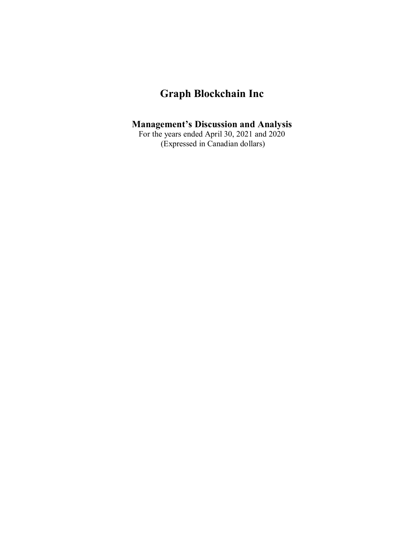# **Graph Blockchain Inc**

## **Management's Discussion and Analysis**

For the years ended April 30, 2021 and 2020 (Expressed in Canadian dollars)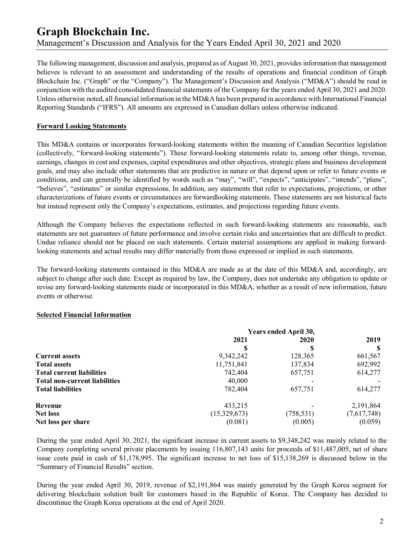The following management, discussion and analysis, prepared as of August 30, 2021, provides information that management believes is relevant to an assessment and understanding of the results of operations and financial condition of Graph Blockchain Inc. ("Graph" or the "Company"). The Management's Discussion and Analysis ("MD&A") should be read in conjunction with the audited consolidated financial statements of the Company for the years ended April 30, 2021 and 2020. Unless otherwise noted, all financial information in the MD&A has been prepared in accordance with International Financial Reporting Standards ("IFRS"). All amounts are expressed in Canadian dollars unless otherwise indicated.

### **Forward Looking Statements**

This MD&A contains or incorporates forward-looking statements within the meaning of Canadian Securities legislation (collectively, "forward-looking statements"). These forward-looking statements relate to, among other things, revenue, earnings, changes in cost and expenses, capital expenditures and other objectives, strategic plans and business development goals, and may also include other statements that are predictive in nature or that depend upon or refer to future events or conditions, and can generally be identified by words such as "may", "will", "expects", "anticipates", "intends", "plans", "believes", "estimates" or similar expressions. In addition, any statements that refer to expectations, projections, or other characterizations of future events or circumstances are forwardlooking statements. These statements are not historical facts but instead represent only the Company's expectations, estimates, and projections regarding future events.

Although the Company believes the expectations reflected in such forward-looking statements are reasonable, such statements are not guarantees of future performance and involve certain risks and uncertainties that are difficult to predict. Undue reliance should not be placed on such statements. Certain material assumptions are applied in making forwardlooking statements and actual results may differ materially from those expressed or implied in such statements.

The forward-looking statements contained in this MD&A are made as at the date of this MD&A and, accordingly, are subject to change after such date. Except as required by law, the Company, does not undertake any obligation to update or revise any forward-looking statements made or incorporated in this MD&A, whether as a result of new information, future events or otherwise.

#### **Selected Financial Information**

|                                      | Years ended April 30, |            |             |  |
|--------------------------------------|-----------------------|------------|-------------|--|
|                                      | 2021                  | 2020       | 2019        |  |
|                                      |                       |            |             |  |
| <b>Current assets</b>                | 9,342,242             | 128,365    | 661,567     |  |
| <b>Total assets</b>                  | 11,751,841            | 137,834    | 692,992     |  |
| <b>Total current liabilities</b>     | 742,404               | 657,751    | 614,277     |  |
| <b>Total non-current liabilities</b> | 40,000                |            |             |  |
| <b>Total liabilities</b>             | 782,404               | 657,751    | 614,277     |  |
| Revenue                              | 433,215               |            | 2,191,864   |  |
| <b>Net loss</b>                      | (15,329,673)          | (758, 531) | (7,617,748) |  |
| Net loss per share                   | (0.081)               | (0.005)    | (0.059)     |  |

During the year ended April 30, 2021, the significant increase in current assets to \$9,348,242 was mainly related to the Company completing several private placements by issuing 116,807,143 units for proceeds of \$11,487,005, net of share issue costs paid in cash of \$1,178,995. The significant increase to net loss of \$15,138,269 is discussed below in the "Summary of Financial Results" section.

During the year ended April 30, 2019, revenue of \$2,191,864 was mainly generated by the Graph Korea segment for delivering blockchain solution built for customers based in the Republic of Korea. The Company has decided to discontinue the Graph Korea operations at the end of April 2020.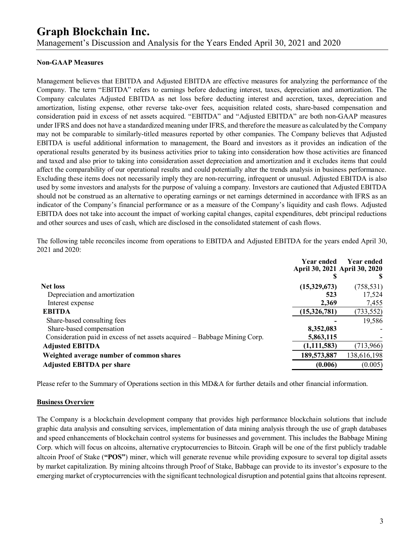# **Graph Blockchain Inc.**

Management's Discussion and Analysis for the Years Ended April 30, 2021 and 2020

### **Non-GAAP Measures**

Management believes that EBITDA and Adjusted EBITDA are effective measures for analyzing the performance of the Company. The term "EBITDA" refers to earnings before deducting interest, taxes, depreciation and amortization. The Company calculates Adjusted EBITDA as net loss before deducting interest and accretion, taxes, depreciation and amortization, listing expense, other reverse take-over fees, acquisition related costs, share-based compensation and consideration paid in excess of net assets acquired. "EBITDA" and "Adjusted EBITDA" are both non-GAAP measures under IFRS and does not have a standardized meaning under IFRS, and therefore the measure as calculated by the Company may not be comparable to similarly-titled measures reported by other companies. The Company believes that Adjusted EBITDA is useful additional information to management, the Board and investors as it provides an indication of the operational results generated by its business activities prior to taking into consideration how those activities are financed and taxed and also prior to taking into consideration asset depreciation and amortization and it excludes items that could affect the comparability of our operational results and could potentially alter the trends analysis in business performance. Excluding these items does not necessarily imply they are non-recurring, infrequent or unusual. Adjusted EBITDA is also used by some investors and analysts for the purpose of valuing a company. Investors are cautioned that Adjusted EBITDA should not be construed as an alternative to operating earnings or net earnings determined in accordance with IFRS as an indicator of the Company's financial performance or as a measure of the Company's liquidity and cash flows. Adjusted EBITDA does not take into account the impact of working capital changes, capital expenditures, debt principal reductions and other sources and uses of cash, which are disclosed in the consolidated statement of cash flows.

The following table reconciles income from operations to EBITDA and Adjusted EBITDA for the years ended April 30, 2021 and 2020:

|                                                                            | <b>Year ended</b> | <b>Year ended</b><br>April 30, 2021 April 30, 2020 |
|----------------------------------------------------------------------------|-------------------|----------------------------------------------------|
|                                                                            |                   |                                                    |
| <b>Net loss</b>                                                            | (15,329,673)      | (758, 531)                                         |
| Depreciation and amortization                                              | 523               | 17,524                                             |
| Interest expense                                                           | 2,369             | 7,455                                              |
| <b>EBITDA</b>                                                              | (15,326,781)      | (733, 552)                                         |
| Share-based consulting fees                                                |                   | 19,586                                             |
| Share-based compensation                                                   | 8,352,083         |                                                    |
| Consideration paid in excess of net assets acquired – Babbage Mining Corp. | 5,863,115         |                                                    |
| <b>Adjusted EBITDA</b>                                                     | (1,111,583)       | (713, 966)                                         |
| Weighted average number of common shares                                   | 189,573,887       | 138,616,198                                        |
| <b>Adjusted EBITDA per share</b>                                           | (0.006)           | (0.005)                                            |

Please refer to the Summary of Operations section in this MD&A for further details and other financial information.

#### **Business Overview**

The Company is a blockchain development company that provides high performance blockchain solutions that include graphic data analysis and consulting services, implementation of data mining analysis through the use of graph databases and speed enhancements of blockchain control systems for businesses and government. This includes the Babbage Mining Corp. which will focus on altcoins, alternative cryptocurrencies to Bitcoin. Graph will be one of the first publicly tradable altcoin Proof of Stake (**"POS"**) miner, which will generate revenue while providing exposure to several top digital assets by market capitalization. By mining altcoins through Proof of Stake, Babbage can provide to its investor's exposure to the emerging market of cryptocurrencies with the significant technological disruption and potential gains that altcoins represent.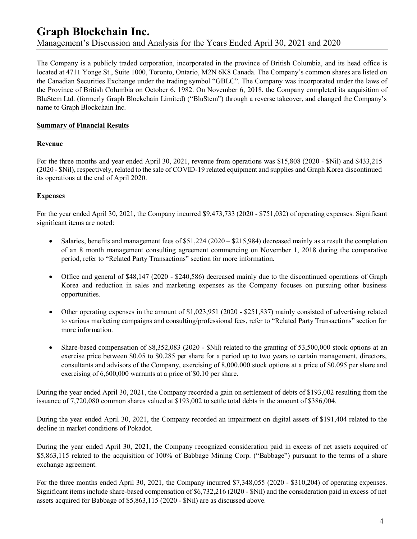The Company is a publicly traded corporation, incorporated in the province of British Columbia, and its head office is located at 4711 Yonge St., Suite 1000, Toronto, Ontario, M2N 6K8 Canada. The Company's common shares are listed on the Canadian Securities Exchange under the trading symbol "GBLC". The Company was incorporated under the laws of the Province of British Columbia on October 6, 1982. On November 6, 2018, the Company completed its acquisition of BluStem Ltd. (formerly Graph Blockchain Limited) ("BluStem") through a reverse takeover, and changed the Company's name to Graph Blockchain Inc.

## **Summary of Financial Results**

#### **Revenue**

For the three months and year ended April 30, 2021, revenue from operations was \$15,808 (2020 - \$Nil) and \$433,215 (2020 - \$Nil), respectively, related to the sale of COVID-19 related equipment and supplies and Graph Korea discontinued its operations at the end of April 2020.

## **Expenses**

For the year ended April 30, 2021, the Company incurred \$9,473,733 (2020 - \$751,032) of operating expenses. Significant significant items are noted:

- Salaries, benefits and management fees of  $$51,224 (2020 $215,984)$  decreased mainly as a result the completion of an 8 month management consulting agreement commencing on November 1, 2018 during the comparative period, refer to "Related Party Transactions" section for more information.
- · Office and general of \$48,147 (2020 \$240,586) decreased mainly due to the discontinued operations of Graph Korea and reduction in sales and marketing expenses as the Company focuses on pursuing other business opportunities.
- Other operating expenses in the amount of \$1,023,951 (2020 \$251,837) mainly consisted of advertising related to various marketing campaigns and consulting/professional fees, refer to "Related Party Transactions" section for more information.
- Share-based compensation of \$8,352,083 (2020 \$Nil) related to the granting of 53,500,000 stock options at an exercise price between \$0.05 to \$0.285 per share for a period up to two years to certain management, directors, consultants and advisors of the Company, exercising of 8,000,000 stock options at a price of \$0.095 per share and exercising of 6,600,000 warrants at a price of \$0.10 per share.

During the year ended April 30, 2021, the Company recorded a gain on settlement of debts of \$193,002 resulting from the issuance of 7,720,080 common shares valued at \$193,002 to settle total debts in the amount of \$386,004.

During the year ended April 30, 2021, the Company recorded an impairment on digital assets of \$191,404 related to the decline in market conditions of Pokadot.

During the year ended April 30, 2021, the Company recognized consideration paid in excess of net assets acquired of \$5,863,115 related to the acquisition of 100% of Babbage Mining Corp. ("Babbage") pursuant to the terms of a share exchange agreement.

For the three months ended April 30, 2021, the Company incurred \$7,348,055 (2020 - \$310,204) of operating expenses. Significant items include share-based compensation of \$6,732,216 (2020 - \$Nil) and the consideration paid in excess of net assets acquired for Babbage of \$5,863,115 (2020 - \$Nil) are as discussed above.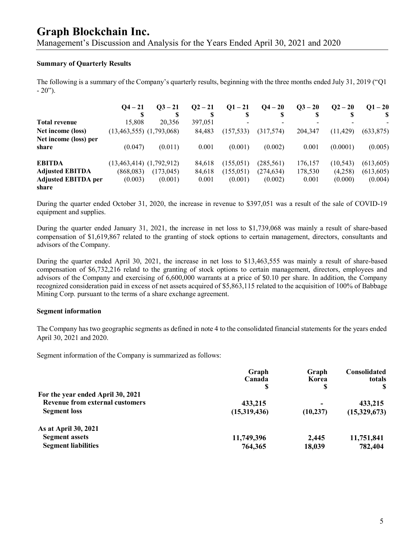## **Graph Blockchain Inc.**

Management's Discussion and Analysis for the Years Ended April 30, 2021 and 2020

#### **Summary of Quarterly Results**

The following is a summary of the Company's quarterly results, beginning with the three months ended July 31, 2019 ("Q1  $-20$ ").

|                            | $O4 - 21$                    | $Q_3 - 21$ | $Q^2 - 21$ | $Q1 - 21$  | $Q_4 - 20$ | $Q3 - 20$ | $Q^2 - 20$ | $Q1 - 20$  |
|----------------------------|------------------------------|------------|------------|------------|------------|-----------|------------|------------|
|                            | S                            | S          | ¢          | S          |            |           | D          |            |
| <b>Total revenue</b>       | 15.808                       | 20,356     | 397,051    |            |            |           |            |            |
| Net income (loss)          | $(13,463,555)$ $(1,793,068)$ |            | 84,483     | (157, 533) | (317,574)  | 204,347   | (11, 429)  | (633, 875) |
| Net income (loss) per      |                              |            |            |            |            |           |            |            |
| share                      | (0.047)                      | (0.011)    | 0.001      | (0.001)    | (0.002)    | 0.001     | (0.0001)   | (0.005)    |
| <b>EBITDA</b>              | $(13,463,414)$ $(1,792,912)$ |            | 84,618     | (155, 051) | (285, 561) | 176,157   | (10, 543)  | (613, 605) |
| <b>Adjusted EBITDA</b>     | (868,083)                    | (173, 045) | 84,618     | (155, 051) | (274, 634) | 178,530   | (4,258)    | (613, 605) |
| <b>Adjusted EBITDA per</b> | (0.003)                      | (0.001)    | 0.001      | (0.001)    | (0.002)    | 0.001     | (0.000)    | (0.004)    |
| share                      |                              |            |            |            |            |           |            |            |

During the quarter ended October 31, 2020, the increase in revenue to \$397,051 was a result of the sale of COVID-19 equipment and supplies.

During the quarter ended January 31, 2021, the increase in net loss to \$1,739,068 was mainly a result of share-based compensation of \$1,619,867 related to the granting of stock options to certain management, directors, consultants and advisors of the Company.

During the quarter ended April 30, 2021, the increase in net loss to \$13,463,555 was mainly a result of share-based compensation of \$6,732,216 relatd to the granting of stock options to certain management, directors, employees and advisors of the Company and exercising of 6,600,000 warrants at a price of \$0.10 per share. In addition, the Company recognized consideration paid in excess of net assets acquired of \$5,863,115 related to the acquisition of 100% of Babbage Mining Corp. pursuant to the terms of a share exchange agreement.

#### **Segment information**

The Company has two geographic segments as defined in note 4 to the consolidated financial statements for the years ended April 30, 2021 and 2020.

Segment information of the Company is summarized as follows:

|                                        | Graph        | Graph      | <b>Consolidated</b> |
|----------------------------------------|--------------|------------|---------------------|
|                                        | Canada<br>S  | Korea<br>S | totals              |
| For the year ended April 30, 2021      |              |            |                     |
| <b>Revenue from external customers</b> | 433,215      |            | 433,215             |
| <b>Segment</b> loss                    | (15,319,436) | (10, 237)  | (15,329,673)        |
| As at April 30, 2021                   |              |            |                     |
| <b>Segment assets</b>                  | 11,749,396   | 2,445      | 11,751,841          |
| <b>Segment liabilities</b>             | 764,365      | 18,039     | 782,404             |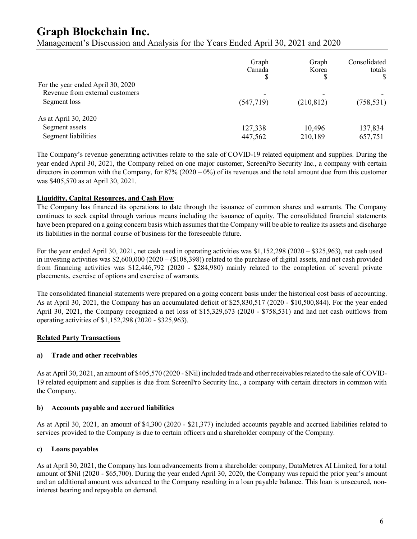# **Graph Blockchain Inc.**

Management's Discussion and Analysis for the Years Ended April 30, 2021 and 2020

|                                   | Graph<br>Canada | Graph<br>Korea<br>S | Consolidated<br>totals |
|-----------------------------------|-----------------|---------------------|------------------------|
| For the year ended April 30, 2020 |                 |                     |                        |
| Revenue from external customers   | ۰               |                     |                        |
| Segment loss                      | (547,719)       | (210, 812)          | (758, 531)             |
| As at April 30, 2020              |                 |                     |                        |
| Segment assets                    | 127,338         | 10,496              | 137,834                |
| Segment liabilities               | 447,562         | 210,189             | 657,751                |

The Company's revenue generating activities relate to the sale of COVID-19 related equipment and supplies. During the year ended April 30, 2021, the Company relied on one major customer, ScreenPro Security Inc., a company with certain directors in common with the Company, for  $87\%$  (2020 – 0%) of its revenues and the total amount due from this customer was \$405,570 as at April 30, 2021.

## **Liquidity, Capital Resources, and Cash Flow**

The Company has financed its operations to date through the issuance of common shares and warrants. The Company continues to seek capital through various means including the issuance of equity. The consolidated financial statements have been prepared on a going concern basis which assumes that the Company will be able to realize its assets and discharge its liabilities in the normal course of business for the foreseeable future.

For the year ended April 30, 2021**,** net cash used in operating activities was \$1,152,298 (2020 – \$325,963), net cash used in investing activities was  $$2,600,000 (2020 - ($108,398))$  related to the purchase of digital assets, and net cash provided from financing activities was \$12,446,792 (2020 - \$284,980) mainly related to the completion of several private placements, exercise of options and exercise of warrants.

The consolidated financial statements were prepared on a going concern basis under the historical cost basis of accounting. As at April 30, 2021, the Company has an accumulated deficit of \$25,830,517 (2020 - \$10,500,844). For the year ended April 30, 2021, the Company recognized a net loss of \$15,329,673 (2020 - \$758,531) and had net cash outflows from operating activities of \$1,152,298 (2020 - \$325,963).

#### **Related Party Transactions**

#### **a) Trade and other receivables**

As at April 30, 2021, an amount of \$405,570 (2020 - \$Nil) included trade and other receivables related to the sale of COVID-19 related equipment and supplies is due from ScreenPro Security Inc., a company with certain directors in common with the Company.

## **b) Accounts payable and accrued liabilities**

As at April 30, 2021, an amount of \$4,300 (2020 - \$21,377) included accounts payable and accrued liabilities related to services provided to the Company is due to certain officers and a shareholder company of the Company.

## **c) Loans payables**

As at April 30, 2021, the Company has loan advancements from a shareholder company, DataMetrex AI Limited, for a total amount of \$Nil (2020 - \$65,700). During the year ended April 30, 2020, the Company was repaid the prior year's amount and an additional amount was advanced to the Company resulting in a loan payable balance. This loan is unsecured, noninterest bearing and repayable on demand.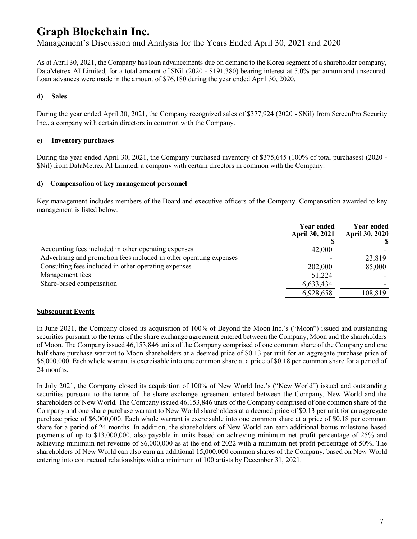As at April 30, 2021, the Company has loan advancements due on demand to the Korea segment of a shareholder company, DataMetrex AI Limited, for a total amount of \$Nil (2020 - \$191,380) bearing interest at 5.0% per annum and unsecured. Loan advances were made in the amount of \$76,180 during the year ended April 30, 2020.

### **d) Sales**

During the year ended April 30, 2021, the Company recognized sales of \$377,924 (2020 - \$Nil) from ScreenPro Security Inc., a company with certain directors in common with the Company.

#### **e) Inventory purchases**

During the year ended April 30, 2021, the Company purchased inventory of \$375,645 (100% of total purchases) (2020 - \$Nil) from DataMetrex AI Limited, a company with certain directors in common with the Company.

#### **d) Compensation of key management personnel**

Key management includes members of the Board and executive officers of the Company. Compensation awarded to key management is listed below:

|                                                                     | <b>Year ended</b><br><b>April 30, 2021</b> | <b>Year ended</b><br><b>April 30, 2020</b> |
|---------------------------------------------------------------------|--------------------------------------------|--------------------------------------------|
| Accounting fees included in other operating expenses                | 42,000                                     |                                            |
| Advertising and promotion fees included in other operating expenses |                                            | 23,819                                     |
| Consulting fees included in other operating expenses                | 202,000                                    | 85,000                                     |
| Management fees                                                     | 51,224                                     |                                            |
| Share-based compensation                                            | 6,633,434                                  |                                            |
|                                                                     | 6,928,658                                  | 108,819                                    |

#### **Subsequent Events**

In June 2021, the Company closed its acquisition of 100% of Beyond the Moon Inc.'s ("Moon") issued and outstanding securities pursuant to the terms of the share exchange agreement entered between the Company, Moon and the shareholders of Moon. The Company issued 46,153,846 units of the Company comprised of one common share of the Company and one half share purchase warrant to Moon shareholders at a deemed price of \$0.13 per unit for an aggregate purchase price of \$6,000,000. Each whole warrant is exercisable into one common share at a price of \$0.18 per common share for a period of 24 months.

In July 2021, the Company closed its acquisition of 100% of New World Inc.'s ("New World") issued and outstanding securities pursuant to the terms of the share exchange agreement entered between the Company, New World and the shareholders of New World. The Company issued 46,153,846 units of the Company comprised of one common share of the Company and one share purchase warrant to New World shareholders at a deemed price of \$0.13 per unit for an aggregate purchase price of \$6,000,000. Each whole warrant is exercisable into one common share at a price of \$0.18 per common share for a period of 24 months. In addition, the shareholders of New World can earn additional bonus milestone based payments of up to \$13,000,000, also payable in units based on achieving minimum net profit percentage of 25% and achieving minimum net revenue of \$6,000,000 as at the end of 2022 with a minimum net profit percentage of 50%. The shareholders of New World can also earn an additional 15,000,000 common shares of the Company, based on New World entering into contractual relationships with a minimum of 100 artists by December 31, 2021.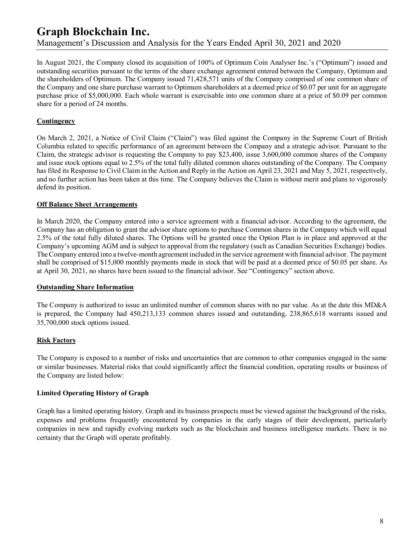In August 2021, the Company closed its acquisition of 100% of Optimum Coin Analyser Inc.'s ("Optimum") issued and outstanding securities pursuant to the terms of the share exchange agreement entered between the Company, Optimum and the shareholders of Optimum. The Company issued 71,428,571 units of the Company comprised of one common share of the Company and one share purchase warrant to Optimum shareholders at a deemed price of \$0.07 per unit for an aggregate purchase price of \$5,000,000. Each whole warrant is exercisable into one common share at a price of \$0.09 per common share for a period of 24 months.

## **Contingency**

On March 2, 2021, a Notice of Civil Claim ("Claim") was filed against the Company in the Supreme Court of British Columbia related to specific performance of an agreement between the Company and a strategic advisor. Pursuant to the Claim, the strategic advisor is requesting the Company to pay \$23,400, issue 3,600,000 common shares of the Company and issue stock options equal to 2.5% of the total fully diluted common shares outstanding of the Company. The Company has filed its Response to Civil Claim in the Action and Reply in the Action on April 23, 2021 and May 5, 2021, respectively, and no further action has been taken at this time. The Company believes the Claim is without merit and plans to vigorously defend its position.

#### **Off Balance Sheet Arrangements**

In March 2020, the Company entered into a service agreement with a financial advisor. According to the agreement, the Company has an obligation to grant the advisor share options to purchase Common shares in the Company which will equal 2.5% of the total fully diluted shares. The Options will be granted once the Option Plan is in place and approved at the Company's upcoming AGM and is subject to approval from the regulatory (such as Canadian Securities Exchange) bodies. The Company entered into a twelve-month agreement included in the service agreement with financial advisor. The payment shall be comprised of \$15,000 monthly payments made in stock that will be paid at a deemed price of \$0.05 per share. As at April 30, 2021, no shares have been issued to the financial advisor. See "Contingency" section above.

#### **Outstanding Share Information**

The Company is authorized to issue an unlimited number of common shares with no par value. As at the date this MD&A is prepared, the Company had 450,213,133 common shares issued and outstanding, 238,865,618 warrants issued and 35,700,000 stock options issued.

## **Risk Factors**

The Company is exposed to a number of risks and uncertainties that are common to other companies engaged in the same or similar businesses. Material risks that could significantly affect the financial condition, operating results or business of the Company are listed below:

## **Limited Operating History of Graph**

Graph has a limited operating history. Graph and its business prospects must be viewed against the background of the risks, expenses and problems frequently encountered by companies in the early stages of their development, particularly companies in new and rapidly evolving markets such as the blockchain and business intelligence markets. There is no certainty that the Graph will operate profitably.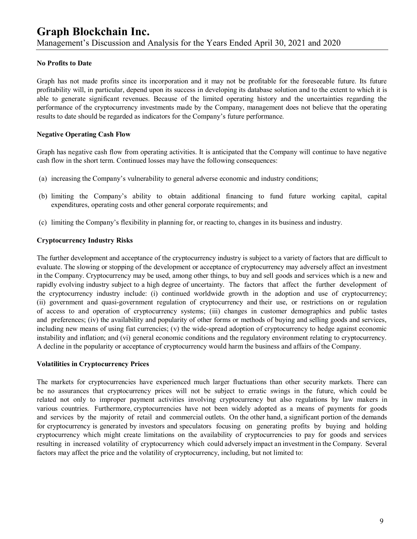### **No Profits to Date**

Graph has not made profits since its incorporation and it may not be profitable for the foreseeable future. Its future profitability will, in particular, depend upon its success in developing its database solution and to the extent to which it is able to generate significant revenues. Because of the limited operating history and the uncertainties regarding the performance of the cryptocurrency investments made by the Company, management does not believe that the operating results to date should be regarded as indicators for the Company's future performance.

#### **Negative Operating Cash Flow**

Graph has negative cash flow from operating activities. It is anticipated that the Company will continue to have negative cash flow in the short term. Continued losses may have the following consequences:

- (a) increasing the Company's vulnerability to general adverse economic and industry conditions;
- (b) limiting the Company's ability to obtain additional financing to fund future working capital, capital expenditures, operating costs and other general corporate requirements; and
- (c) limiting the Company's flexibility in planning for, or reacting to, changes in its business and industry.

#### **Cryptocurrency Industry Risks**

The further development and acceptance of the cryptocurrency industry is subject to a variety of factors that are difficult to evaluate. The slowing or stopping of the development or acceptance of cryptocurrency may adversely affect an investment in the Company. Cryptocurrency may be used, among other things, to buy and sell goods and services which is a new and rapidly evolving industry subject to a high degree of uncertainty. The factors that affect the further development of the cryptocurrency industry include: (i) continued worldwide growth in the adoption and use of cryptocurrency; (ii) government and quasi-government regulation of cryptocurrency and their use, or restrictions on or regulation of access to and operation of cryptocurrency systems; (iii) changes in customer demographics and public tastes and preferences; (iv) the availability and popularity of other forms or methods of buying and selling goods and services, including new means of using fiat currencies; (v) the wide-spread adoption of cryptocurrency to hedge against economic instability and inflation; and (vi) general economic conditions and the regulatory environment relating to cryptocurrency. A decline in the popularity or acceptance of cryptocurrency would harm the business and affairs of the Company.

#### **Volatilities in Cryptocurrency Prices**

The markets for cryptocurrencies have experienced much larger fluctuations than other security markets. There can be no assurances that cryptocurrency prices will not be subject to erratic swings in the future, which could be related not only to improper payment activities involving cryptocurrency but also regulations by law makers in various countries. Furthermore, cryptocurrencies have not been widely adopted as a means of payments for goods and services by the majority of retail and commercial outlets. On the other hand, a significant portion of the demands for cryptocurrency is generated by investors and speculators focusing on generating profits by buying and holding cryptocurrency which might create limitations on the availability of cryptocurrencies to pay for goods and services resulting in increased volatility of cryptocurrency which could adversely impact an investment in the Company. Several factors may affect the price and the volatility of cryptocurrency, including, but not limited to: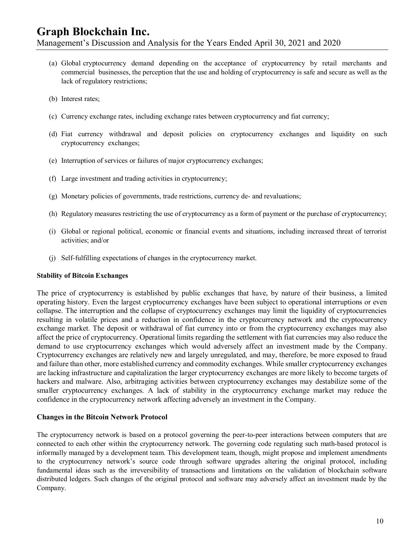- (a) Global cryptocurrency demand depending on the acceptance of cryptocurrency by retail merchants and commercial businesses, the perception that the use and holding of cryptocurrency is safe and secure as well as the lack of regulatory restrictions;
- (b) Interest rates;
- (c) Currency exchange rates, including exchange rates between cryptocurrency and fiat currency;
- (d) Fiat currency withdrawal and deposit policies on cryptocurrency exchanges and liquidity on such cryptocurrency exchanges;
- (e) Interruption of services or failures of major cryptocurrency exchanges;
- (f) Large investment and trading activities in cryptocurrency;
- (g) Monetary policies of governments, trade restrictions, currency de- and revaluations;
- (h) Regulatory measures restricting the use of cryptocurrency as a form of payment or the purchase of cryptocurrency;
- (i) Global or regional political, economic or financial events and situations, including increased threat of terrorist activities; and/or
- (j) Self-fulfilling expectations of changes in the cryptocurrency market.

#### **Stability of Bitcoin Exchanges**

The price of cryptocurrency is established by public exchanges that have, by nature of their business, a limited operating history. Even the largest cryptocurrency exchanges have been subject to operational interruptions or even collapse. The interruption and the collapse of cryptocurrency exchanges may limit the liquidity of cryptocurrencies resulting in volatile prices and a reduction in confidence in the cryptocurrency network and the cryptocurrency exchange market. The deposit or withdrawal of fiat currency into or from the cryptocurrency exchanges may also affect the price of cryptocurrency. Operational limits regarding the settlement with fiat currencies may also reduce the demand to use cryptocurrency exchanges which would adversely affect an investment made by the Company. Cryptocurrency exchanges are relatively new and largely unregulated, and may, therefore, be more exposed to fraud and failure than other, more established currency and commodity exchanges. While smaller cryptocurrency exchanges are lacking infrastructure and capitalization the larger cryptocurrency exchanges are more likely to become targets of hackers and malware. Also, arbitraging activities between cryptocurrency exchanges may destabilize some of the smaller cryptocurrency exchanges. A lack of stability in the cryptocurrency exchange market may reduce the confidence in the cryptocurrency network affecting adversely an investment in the Company.

#### **Changes in the Bitcoin Network Protocol**

The cryptocurrency network is based on a protocol governing the peer-to-peer interactions between computers that are connected to each other within the cryptocurrency network. The governing code regulating such math-based protocol is informally managed by a development team. This development team, though, might propose and implement amendments to the cryptocurrency network's source code through software upgrades altering the original protocol, including fundamental ideas such as the irreversibility of transactions and limitations on the validation of blockchain software distributed ledgers. Such changes of the original protocol and software may adversely affect an investment made by the Company.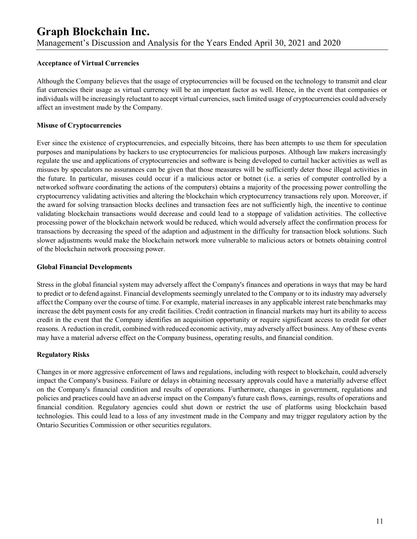#### **Acceptance of Virtual Currencies**

Although the Company believes that the usage of cryptocurrencies will be focused on the technology to transmit and clear fiat currencies their usage as virtual currency will be an important factor as well. Hence, in the event that companies or individuals will be increasingly reluctant to accept virtual currencies, such limited usage of cryptocurrencies could adversely affect an investment made by the Company.

#### **Misuse of Cryptocurrencies**

Ever since the existence of cryptocurrencies, and especially bitcoins, there has been attempts to use them for speculation purposes and manipulations by hackers to use cryptocurrencies for malicious purposes. Although law makers increasingly regulate the use and applications of cryptocurrencies and software is being developed to curtail hacker activities as well as misuses by speculators no assurances can be given that those measures will be sufficiently deter those illegal activities in the future. In particular, misuses could occur if a malicious actor or botnet (i.e. a series of computer controlled by a networked software coordinating the actions of the computers) obtains a majority of the processing power controlling the cryptocurrency validating activities and altering the blockchain which cryptocurrency transactions rely upon. Moreover, if the award for solving transaction blocks declines and transaction fees are not sufficiently high, the incentive to continue validating blockchain transactions would decrease and could lead to a stoppage of validation activities. The collective processing power of the blockchain network would be reduced, which would adversely affect the confirmation process for transactions by decreasing the speed of the adaption and adjustment in the difficulty for transaction block solutions. Such slower adjustments would make the blockchain network more vulnerable to malicious actors or botnets obtaining control of the blockchain network processing power.

#### **Global Financial Developments**

Stress in the global financial system may adversely affect the Company's finances and operations in ways that may be hard to predict or to defend against. Financial developments seemingly unrelated to the Company or to its industry may adversely affect the Company over the course of time. For example, material increases in any applicable interest rate benchmarks may increase the debt payment costs for any credit facilities. Credit contraction in financial markets may hurt its ability to access credit in the event that the Company identifies an acquisition opportunity or require significant access to credit for other reasons. A reduction in credit, combined with reduced economic activity, may adversely affect business. Any of these events may have a material adverse effect on the Company business, operating results, and financial condition.

#### **Regulatory Risks**

Changes in or more aggressive enforcement of laws and regulations, including with respect to blockchain, could adversely impact the Company's business. Failure or delays in obtaining necessary approvals could have a materially adverse effect on the Company's financial condition and results of operations. Furthermore, changes in government, regulations and policies and practices could have an adverse impact on the Company's future cash flows, earnings, results of operations and financial condition. Regulatory agencies could shut down or restrict the use of platforms using blockchain based technologies. This could lead to a loss of any investment made in the Company and may trigger regulatory action by the Ontario Securities Commission or other securities regulators.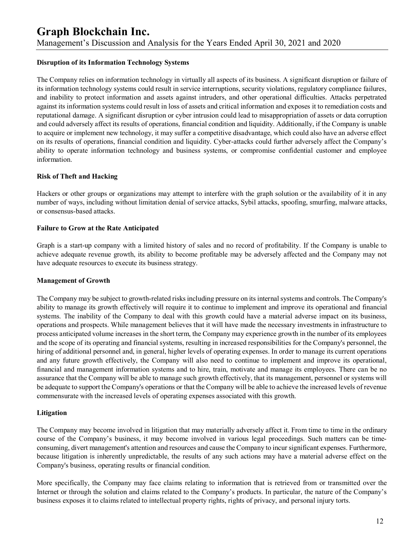#### **Disruption of its Information Technology Systems**

The Company relies on information technology in virtually all aspects of its business. A significant disruption or failure of its information technology systems could result in service interruptions, security violations, regulatory compliance failures, and inability to protect information and assets against intruders, and other operational difficulties. Attacks perpetrated against its information systems could result in loss of assets and critical information and exposes it to remediation costs and reputational damage. A significant disruption or cyber intrusion could lead to misappropriation of assets or data corruption and could adversely affect its results of operations, financial condition and liquidity. Additionally, if the Company is unable to acquire or implement new technology, it may suffer a competitive disadvantage, which could also have an adverse effect on its results of operations, financial condition and liquidity. Cyber-attacks could further adversely affect the Company's ability to operate information technology and business systems, or compromise confidential customer and employee information.

#### **Risk of Theft and Hacking**

Hackers or other groups or organizations may attempt to interfere with the graph solution or the availability of it in any number of ways, including without limitation denial of service attacks, Sybil attacks, spoofing, smurfing, malware attacks, or consensus-based attacks.

#### **Failure to Grow at the Rate Anticipated**

Graph is a start-up company with a limited history of sales and no record of profitability. If the Company is unable to achieve adequate revenue growth, its ability to become profitable may be adversely affected and the Company may not have adequate resources to execute its business strategy.

#### **Management of Growth**

The Company may be subject to growth-related risks including pressure on its internal systems and controls. The Company's ability to manage its growth effectively will require it to continue to implement and improve its operational and financial systems. The inability of the Company to deal with this growth could have a material adverse impact on its business, operations and prospects. While management believes that it will have made the necessary investments in infrastructure to process anticipated volume increases in the short term, the Company may experience growth in the number of its employees and the scope of its operating and financial systems, resulting in increased responsibilities for the Company's personnel, the hiring of additional personnel and, in general, higher levels of operating expenses. In order to manage its current operations and any future growth effectively, the Company will also need to continue to implement and improve its operational, financial and management information systems and to hire, train, motivate and manage its employees. There can be no assurance that the Company will be able to manage such growth effectively, that its management, personnel or systems will be adequate to support the Company's operations or that the Company will be able to achieve the increased levels of revenue commensurate with the increased levels of operating expenses associated with this growth.

#### **Litigation**

The Company may become involved in litigation that may materially adversely affect it. From time to time in the ordinary course of the Company's business, it may become involved in various legal proceedings. Such matters can be timeconsuming, divert management's attention and resources and cause the Company to incur significant expenses. Furthermore, because litigation is inherently unpredictable, the results of any such actions may have a material adverse effect on the Company's business, operating results or financial condition.

More specifically, the Company may face claims relating to information that is retrieved from or transmitted over the Internet or through the solution and claims related to the Company's products. In particular, the nature of the Company's business exposes it to claims related to intellectual property rights, rights of privacy, and personal injury torts.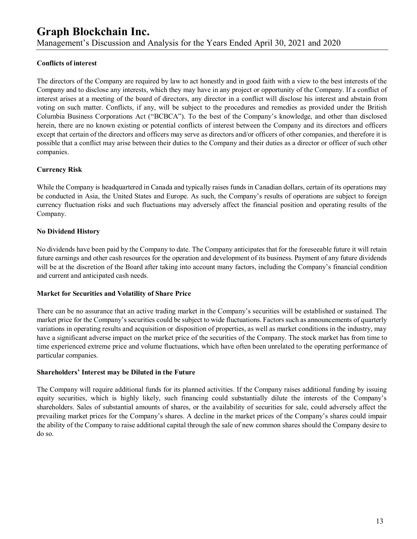## **Conflicts of interest**

The directors of the Company are required by law to act honestly and in good faith with a view to the best interests of the Company and to disclose any interests, which they may have in any project or opportunity of the Company. If a conflict of interest arises at a meeting of the board of directors, any director in a conflict will disclose his interest and abstain from voting on such matter. Conflicts, if any, will be subject to the procedures and remedies as provided under the British Columbia Business Corporations Act ("BCBCA"). To the best of the Company's knowledge, and other than disclosed herein, there are no known existing or potential conflicts of interest between the Company and its directors and officers except that certain of the directors and officers may serve as directors and/or officers of other companies, and therefore it is possible that a conflict may arise between their duties to the Company and their duties as a director or officer of such other companies.

## **Currency Risk**

While the Company is headquartered in Canada and typically raises funds in Canadian dollars, certain of its operations may be conducted in Asia, the United States and Europe. As such, the Company's results of operations are subject to foreign currency fluctuation risks and such fluctuations may adversely affect the financial position and operating results of the Company.

## **No Dividend History**

No dividends have been paid by the Company to date. The Company anticipates that for the foreseeable future it will retain future earnings and other cash resources for the operation and development of its business. Payment of any future dividends will be at the discretion of the Board after taking into account many factors, including the Company's financial condition and current and anticipated cash needs.

## **Market for Securities and Volatility of Share Price**

There can be no assurance that an active trading market in the Company's securities will be established or sustained. The market price for the Company's securities could be subject to wide fluctuations. Factors such as announcements of quarterly variations in operating results and acquisition or disposition of properties, as well as market conditions in the industry, may have a significant adverse impact on the market price of the securities of the Company. The stock market has from time to time experienced extreme price and volume fluctuations, which have often been unrelated to the operating performance of particular companies.

## **Shareholders' Interest may be Diluted in the Future**

The Company will require additional funds for its planned activities. If the Company raises additional funding by issuing equity securities, which is highly likely, such financing could substantially dilute the interests of the Company's shareholders. Sales of substantial amounts of shares, or the availability of securities for sale, could adversely affect the prevailing market prices for the Company's shares. A decline in the market prices of the Company's shares could impair the ability of the Company to raise additional capital through the sale of new common shares should the Company desire to do so.